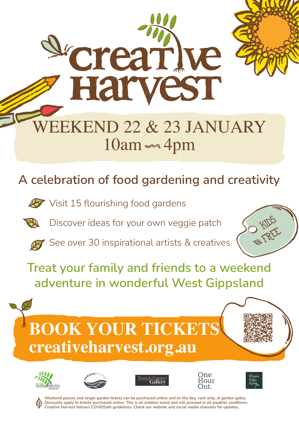

## **A celebration of food gardening and creativity**



Discover ideas for your own veggie patch





**Treat your family and friends to a weekend adventure in wonderful West Gippsland**

# **BOOK YOUR TICKETS creativeharvest.org.au**











**Weekend passes and single garden tickets can be purchased online and on the day, cash only, at garden gates. Discounts apply to tickets purchased online. This is an outdoor event and will proceed in all weather conditions. Creative Harvest follows COVIDSafe guidelines. Check our website and social media channels for updates.**